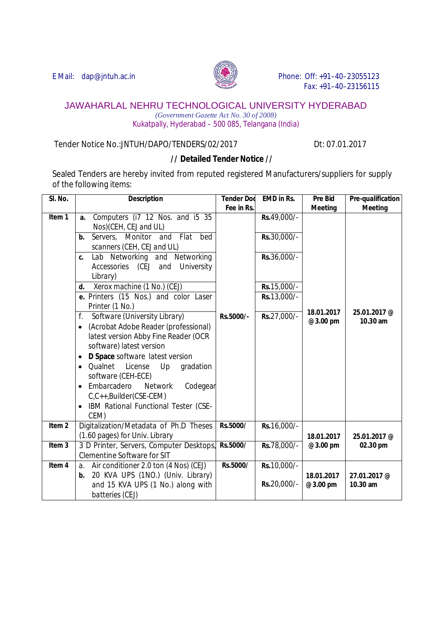

E Mail: dap@jntuh.ac.in Phone: Off: +91–40–23055123 Fax: +91–40–23156115

## JAWAHARLAL NEHRU TECHNOLOGICAL UNIVERSITY HYDERABAD

*(Government Gazette Act No. 30 of 2008)* Kukatpally, Hyderabad – 500 085, Telangana (India)

Tender Notice No.:JNTUH/DAPO/TENDERS/02/2017Dt: 07.01.2017

## **// Detailed Tender Notice //**

Sealed Tenders are hereby invited from reputed registered Manufacturers/suppliers for supply of the following items:

| SI. No.           | <b>Description</b>                                                                                                                                                                                                                                                                                                                                                                                                                                                                                                                                                                                                                                                                  | <b>Tender Dod</b> | <b>EMD in Rs.</b>                                                                        | <b>Pre Bid</b>         | Pre-qualification        |
|-------------------|-------------------------------------------------------------------------------------------------------------------------------------------------------------------------------------------------------------------------------------------------------------------------------------------------------------------------------------------------------------------------------------------------------------------------------------------------------------------------------------------------------------------------------------------------------------------------------------------------------------------------------------------------------------------------------------|-------------------|------------------------------------------------------------------------------------------|------------------------|--------------------------|
|                   |                                                                                                                                                                                                                                                                                                                                                                                                                                                                                                                                                                                                                                                                                     | Fee in Rs.        |                                                                                          | <b>Meeting</b>         | <b>Meeting</b>           |
| Item 1            | Computers (i7 12 Nos. and i5 35<br>a.<br>Nos)(CEH, CEJ and UL)<br>Servers. Monitor and Flat bed<br>b.<br>scanners (CEH, CEJ and UL)<br>Lab Networking and Networking<br>C.<br>University<br>Accessories (CEJ and<br>Library)<br>Xerox machine (1 No.) (CEJ)<br>d.<br>e. Printers (15 Nos.) and color Laser<br>Printer (1 No.)<br>f.<br>Software (University Library)<br>(Acrobat Adobe Reader (professional)<br>$\bullet$<br>latest version Abby Fine Reader (OCR<br>software) latest version<br>D Space software latest version<br>Qualnet<br>License<br>Up<br>gradation<br>$\bullet$<br>software (CEH-ECE)<br>Embarcadero<br><b>Network</b><br>Codegear<br>C,C++,Builder(CSE-CEM) | Rs.5000/-         | Rs.49,000/-<br>Rs.30,000/-<br>Rs.36,000/-<br>Rs. 15,000/-<br>Rs. 13,000/-<br>Rs.27,000/- | 18.01.2017<br>@3.00 pm | 25.01.2017 @<br>10.30 am |
|                   | IBM Rational Functional Tester (CSE-<br>CEM)                                                                                                                                                                                                                                                                                                                                                                                                                                                                                                                                                                                                                                        |                   |                                                                                          |                        |                          |
| Item <sub>2</sub> | Digitalization/Metadata of Ph.D Theses<br>(1.60 pages) for Univ. Library                                                                                                                                                                                                                                                                                                                                                                                                                                                                                                                                                                                                            | Rs.5000/          | Rs.16,000/-                                                                              | 18.01.2017             | 25.01.2017 @             |
| Item <sub>3</sub> | 3 D Printer, Servers, Computer Desktops,<br><b>Clementine Software for SIT</b>                                                                                                                                                                                                                                                                                                                                                                                                                                                                                                                                                                                                      | Rs.5000/          | Rs.78,000/-                                                                              | @3.00 pm               | 02.30 pm                 |
| Item 4            | Air conditioner 2.0 ton (4 Nos) (CEJ)<br>$a_{\cdot}$<br>20 KVA UPS (1NO.) (Univ. Library)<br>b.<br>and 15 KVA UPS (1 No.) along with<br>batteries (CEJ)                                                                                                                                                                                                                                                                                                                                                                                                                                                                                                                             | Rs.5000/          | Rs. 10,000/-<br>Rs.20,000/-                                                              | 18.01.2017<br>@3.00 pm | 27.01.2017 @<br>10.30 am |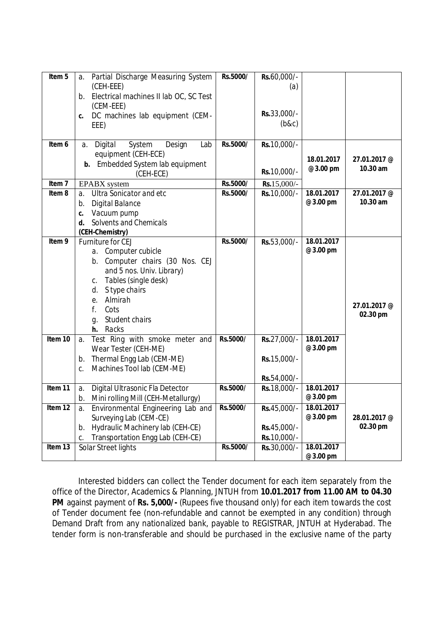| Item $\overline{5}$ | Partial Discharge Measuring System<br>a.          | Rs.5000/ | Rs.60,000/-  |            |              |
|---------------------|---------------------------------------------------|----------|--------------|------------|--------------|
|                     | (CEH-EEE)                                         |          | (a)          |            |              |
|                     | b. Electrical machines II lab OC, SC Test         |          |              |            |              |
|                     | (CEM-EEE)                                         |          | Rs.33,000/-  |            |              |
|                     | DC machines lab equipment (CEM-<br>C.             |          | (b&c)        |            |              |
|                     | EEE)                                              |          |              |            |              |
| Item 6              | Digital<br>System<br>Design<br>Lab<br>а.          | Rs.5000/ | Rs. 10,000/- |            |              |
|                     | equipment (CEH-ECE)                               |          |              |            |              |
|                     | <b>b.</b> Embedded System lab equipment           |          |              | 18.01.2017 | 27.01.2017 @ |
|                     | (CEH-ECE)                                         |          | Rs. 10,000/- | @3.00 pm   | $10.30$ am   |
| Item <sub>7</sub>   | <b>EPABX</b> system                               | Rs.5000/ | Rs.15,000/-  |            |              |
| Item <sub>8</sub>   | <b>Ultra Sonicator and etc</b><br>$\partial$ .    | Rs.5000/ | Rs. 10,000/- | 18.01.2017 | 27.01.2017 @ |
|                     | <b>Digital Balance</b><br>b.                      |          |              | @3.00 pm   | 10.30 am     |
|                     | Vacuum pump<br>C.                                 |          |              |            |              |
|                     | Solvents and Chemicals<br>d.                      |          |              |            |              |
|                     | (CEH-Chemistry)                                   |          |              |            |              |
| Item 9              | Furniture for CEJ                                 | Rs.5000/ | Rs.53,000/-  | 18.01.2017 |              |
|                     | a. Computer cubicle                               |          |              | @3.00 pm   |              |
|                     | b. Computer chairs (30 Nos. CEJ                   |          |              |            |              |
|                     | and 5 nos. Univ. Library)<br>Tables (single desk) |          |              |            |              |
|                     | C.<br>S type chairs<br>d.                         |          |              |            |              |
|                     | Almirah<br>е.                                     |          |              |            |              |
|                     | f.<br>Cots                                        |          |              |            | 27.01.2017 @ |
|                     | Student chairs<br>g.                              |          |              |            | 02.30 pm     |
|                     | h. Racks                                          |          |              |            |              |
| Item 10             | Test Ring with smoke meter and<br>a.              | Rs.5000/ | Rs.27,000/-  | 18.01.2017 |              |
|                     | Wear Tester (CEH-ME)                              |          |              | @3.00 pm   |              |
|                     | Thermal Engg Lab (CEM-ME)<br>b.                   |          | Rs.15,000/-  |            |              |
|                     | Machines Tool lab (CEM-ME)<br>C.                  |          |              |            |              |
|                     |                                                   |          | Rs.54,000/-  |            |              |
| $Item11$            | Digital Ultrasonic Fla Detector<br>a.             | Rs.5000/ | Rs.18,000/-  | 18.01.2017 |              |
|                     | Mini rolling Mill (CEH-Metallurgy)<br>b.          |          |              | @3.00 pm   |              |
| Item <sub>12</sub>  | Environmental Engineering Lab and<br>a.           | Rs.5000/ | Rs.45,000/-  | 18.01.2017 |              |
|                     | Surveying Lab (CEM-CE)                            |          |              | @3.00 pm   | 28.01.2017 @ |
|                     | Hydraulic Machinery lab (CEH-CE)<br>b.            |          | Rs.45,000/-  |            | 02.30 pm     |
|                     | Transportation Engg Lab (CEH-CE)<br>C.            |          | Rs.10,000/-  |            |              |
| Item 13             | Solar Street lights                               | Rs.5000/ | Rs.30,000/-  | 18.01.2017 |              |
|                     |                                                   |          |              | @3.00 pm   |              |

Interested bidders can collect the Tender document for each item separately from the office of the Director, Academics & Planning, JNTUH from **10.01.2017 from 11.00 AM to 04.30 PM** against payment of **Rs. 5,000/-** (Rupees five thousand only) for each item towards the cost of Tender document fee (non-refundable and cannot be exempted in any condition) through Demand Draft from any nationalized bank, payable to REGISTRAR, JNTUH at Hyderabad. The tender form is non-transferable and should be purchased in the exclusive name of the party